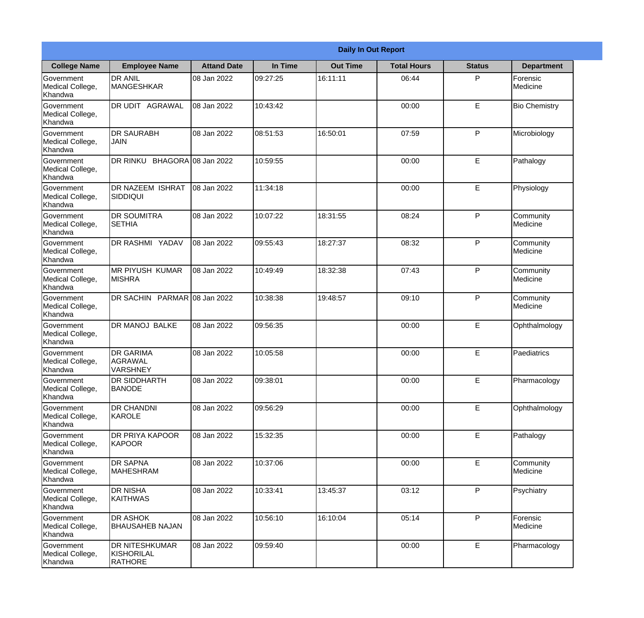|                                           |                                                |                     | <b>Daily In Out Report</b> |                 |                    |               |                       |
|-------------------------------------------|------------------------------------------------|---------------------|----------------------------|-----------------|--------------------|---------------|-----------------------|
| <b>College Name</b>                       | <b>Employee Name</b>                           | <b>Attand Date</b>  | In Time                    | <b>Out Time</b> | <b>Total Hours</b> | <b>Status</b> | <b>Department</b>     |
| Government<br>Medical College,<br>Khandwa | <b>DR ANIL</b><br><b>MANGESHKAR</b>            | 08 Jan 2022         | 09:27:25                   | 16:11:11        | 06:44              | P             | Forensic<br>Medicine  |
| Government<br>Medical College,<br>Khandwa | DR UDIT AGRAWAL                                | 08 Jan 2022         | 10:43:42                   |                 | 00:00              | E             | <b>Bio Chemistry</b>  |
| Government<br>Medical College,<br>Khandwa | DR SAURABH<br>JAIN                             | 08 Jan 2022         | 08:51:53                   | 16:50:01        | 07:59              | P             | Microbiology          |
| Government<br>Medical College,<br>Khandwa | DR RINKU                                       | BHAGORA 08 Jan 2022 | 10:59:55                   |                 | 00:00              | E             | Pathalogy             |
| Government<br>Medical College,<br>Khandwa | <b>DR NAZEEM ISHRAT</b><br><b>SIDDIQUI</b>     | 08 Jan 2022         | 11:34:18                   |                 | 00:00              | E             | Physiology            |
| Government<br>Medical College,<br>Khandwa | <b>DR SOUMITRA</b><br><b>SETHIA</b>            | 08 Jan 2022         | 10:07:22                   | 18:31:55        | 08:24              | P             | Community<br>Medicine |
| Government<br>Medical College,<br>Khandwa | <b>DR RASHMI YADAV</b>                         | 08 Jan 2022         | 09:55:43                   | 18:27:37        | 08:32              | P             | Community<br>Medicine |
| Government<br>Medical College,<br>Khandwa | <b>MR PIYUSH KUMAR</b><br><b>MISHRA</b>        | 08 Jan 2022         | 10:49:49                   | 18:32:38        | 07:43              | P             | Community<br>Medicine |
| Government<br>Medical College,<br>Khandwa | <b>DR SACHIN</b>                               | PARMAR 08 Jan 2022  | 10:38:38                   | 19:48:57        | 09:10              | P             | Community<br>Medicine |
| Government<br>Medical College,<br>Khandwa | DR MANOJ BALKE                                 | 08 Jan 2022         | 09:56:35                   |                 | 00:00              | E             | Ophthalmology         |
| Government<br>Medical College,<br>Khandwa | <b>DR GARIMA</b><br><b>AGRAWAL</b><br>VARSHNEY | 08 Jan 2022         | 10:05:58                   |                 | 00:00              | E             | Paediatrics           |
| Government<br>Medical College,<br>Khandwa | <b>DR SIDDHARTH</b><br><b>BANODE</b>           | 08 Jan 2022         | 09:38:01                   |                 | 00:00              | E.            | Pharmacology          |
| Government<br>Medical College,<br>Khandwa | DR CHANDNI<br>KAROLE                           | 08 Jan 2022         | 09:56:29                   |                 | 00:00              | E             | Ophthalmology         |
| Government<br>Medical College,<br>Khandwa | DR PRIYA KAPOOR<br>KAPOOR                      | 08 Jan 2022         | 15:32:35                   |                 | 00:00              | E             | Pathalogy             |
| Government<br>Medical College,<br>Khandwa | <b>DR SAPNA</b><br><b>MAHESHRAM</b>            | 08 Jan 2022         | 10:37:06                   |                 | 00:00              | E             | Community<br>Medicine |
| Government<br>Medical College,<br>Khandwa | <b>DR NISHA</b><br><b>KAITHWAS</b>             | 08 Jan 2022         | 10:33:41                   | 13:45:37        | 03:12              | P             | Psychiatry            |
| Government<br>Medical College,<br>Khandwa | <b>DR ASHOK</b><br><b>BHAUSAHEB NAJAN</b>      | 08 Jan 2022         | 10:56:10                   | 16:10:04        | 05:14              | P             | Forensic<br>Medicine  |
| Government<br>Medical College,<br>Khandwa | DR NITESHKUMAR<br>KISHORILAL<br><b>RATHORE</b> | 08 Jan 2022         | 09:59:40                   |                 | 00:00              | E             | Pharmacology          |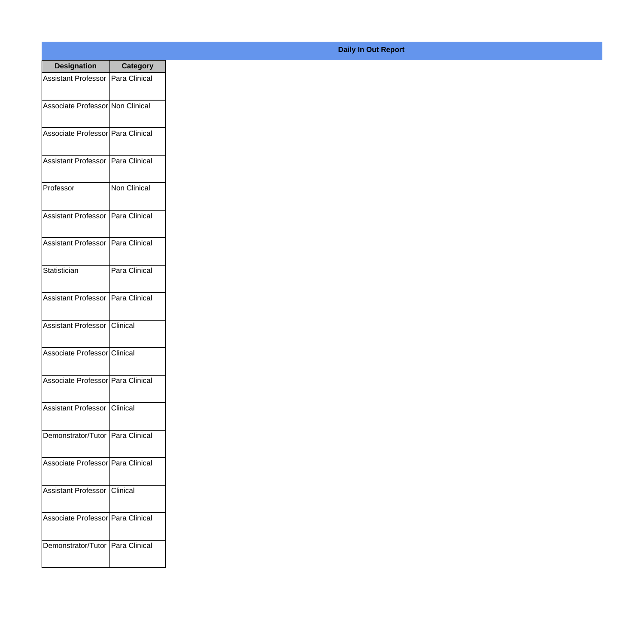| <b>Designation</b>                  | <b>Category</b>        |
|-------------------------------------|------------------------|
| Assistant Professor   Para Clinical |                        |
| Associate Professor Non Clinical    |                        |
| Associate Professor   Para Clinical |                        |
| Assistant Professor                 | Para Clinical          |
| Professor                           | <b>Non Clinical</b>    |
| <b>Assistant Professor</b>          | Para Clinical          |
| <b>Assistant Professor</b>          | <b>I</b> Para Clinical |
| Statistician                        | Para Clinical          |
| <b>Assistant Professor</b>          | Para Clinical          |
| Assistant Professor                 | IClinical              |
| Associate Professor Clinical        |                        |
| Associate Professor   Para Clinical |                        |
| Assistant Professor   Clinical      |                        |
| Demonstrator/Tutor   Para Clinical  |                        |
| Associate Professor   Para Clinical |                        |
| <b>Assistant Professor</b>          | <b>Clinical</b>        |
| Associate Professor   Para Clinical |                        |
| Demonstrator/Tutor   Para Clinical  |                        |

## **Daily In Out Report**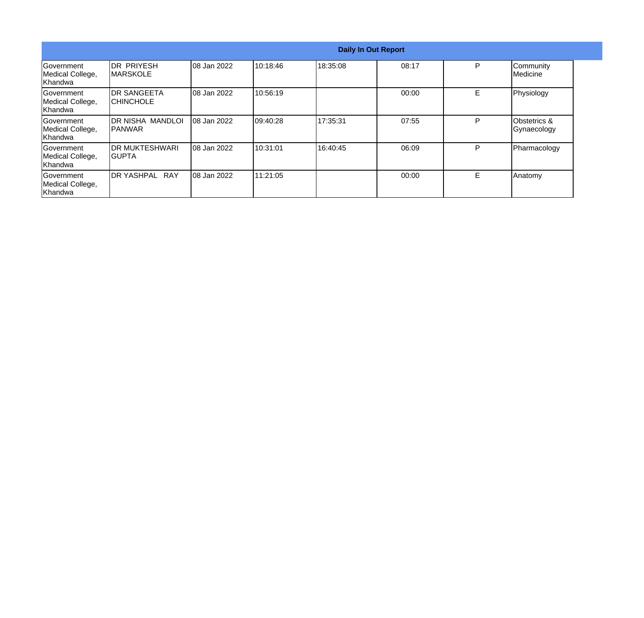|                                                   |                                        |             |           |          | <b>Daily In Out Report</b> |   |                             |
|---------------------------------------------------|----------------------------------------|-------------|-----------|----------|----------------------------|---|-----------------------------|
| lGovernment<br>Medical College,<br>lKhandwa       | IDR PRIYESH<br><b>IMARSKOLE</b>        | 08 Jan 2022 | 10:18:46  | 18:35:08 | 08:17                      | P | Community<br>Medicine       |
| Government<br>Medical College,<br>Khandwa         | <b>DR SANGEETA</b><br><b>CHINCHOLE</b> | 08 Jan 2022 | 10:56:19  |          | 00:00                      | E | Physiology                  |
| lGovernment<br>Medical College,<br><b>Khandwa</b> | IDR NISHA MANDLOI<br>IPANWAR           | 08 Jan 2022 | 109:40:28 | 17:35:31 | 07:55                      | P | Obstetrics &<br>Gynaecology |
| <b>Government</b><br>Medical College,<br>Khandwa  | <b>IDR MUKTESHWARI</b><br>IGUPTA       | 08 Jan 2022 | 10:31:01  | 16:40:45 | 06:09                      | P | Pharmacology                |
| Government<br>Medical College,<br>Khandwa         | DR YASHPAL RAY                         | 08 Jan 2022 | 111:21:05 |          | 00:00                      | Е | Anatomy                     |